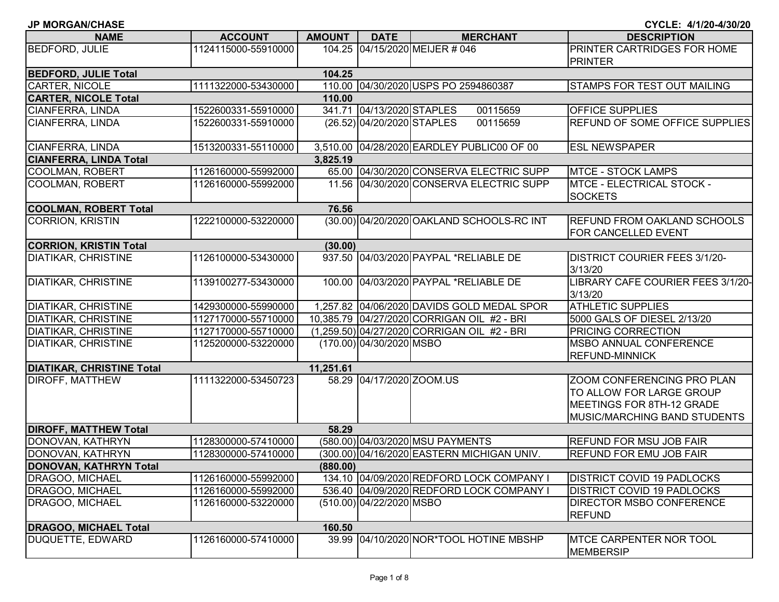| <b>NAME</b>                      | <b>ACCOUNT</b>                                                                                    | <b>AMOUNT</b> | <b>DATE</b>                | <b>MERCHANT</b>                             | <b>DESCRIPTION</b>                                                                                                         |  |
|----------------------------------|---------------------------------------------------------------------------------------------------|---------------|----------------------------|---------------------------------------------|----------------------------------------------------------------------------------------------------------------------------|--|
| <b>BEDFORD, JULIE</b>            | 1124115000-55910000                                                                               |               |                            | 104.25 04/15/2020 MEIJER # 046              | PRINTER CARTRIDGES FOR HOME<br><b>PRINTER</b>                                                                              |  |
| <b>BEDFORD, JULIE Total</b>      |                                                                                                   | 104.25        |                            |                                             |                                                                                                                            |  |
| CARTER, NICOLE                   | 1111322000-53430000<br>110.00 04/30/2020 USPS PO 2594860387<br><b>STAMPS FOR TEST OUT MAILING</b> |               |                            |                                             |                                                                                                                            |  |
| <b>CARTER, NICOLE Total</b>      |                                                                                                   | 110.00        |                            |                                             |                                                                                                                            |  |
| CIANFERRA, LINDA                 | 1522600331-55910000                                                                               |               | 341.71 04/13/2020 STAPLES  | 00115659                                    | <b>OFFICE SUPPLIES</b>                                                                                                     |  |
| CIANFERRA, LINDA                 | 1522600331-55910000                                                                               |               | (26.52) 04/20/2020 STAPLES | 00115659                                    | <b>REFUND OF SOME OFFICE SUPPLIES</b>                                                                                      |  |
| CIANFERRA, LINDA                 | 1513200331-55110000                                                                               |               |                            | 3,510.00 04/28/2020 EARDLEY PUBLIC00 OF 00  | <b>ESL NEWSPAPER</b>                                                                                                       |  |
| <b>CIANFERRA, LINDA Total</b>    |                                                                                                   | 3,825.19      |                            |                                             |                                                                                                                            |  |
| COOLMAN, ROBERT                  | 1126160000-55992000                                                                               |               |                            | 65.00 04/30/2020 CONSERVA ELECTRIC SUPP     | <b>MTCE - STOCK LAMPS</b>                                                                                                  |  |
| COOLMAN, ROBERT                  | 1126160000-55992000                                                                               |               |                            | 11.56 04/30/2020 CONSERVA ELECTRIC SUPP     | <b>MTCE - ELECTRICAL STOCK -</b><br><b>SOCKETS</b>                                                                         |  |
| <b>COOLMAN, ROBERT Total</b>     |                                                                                                   | 76.56         |                            |                                             |                                                                                                                            |  |
| <b>CORRION, KRISTIN</b>          | 1222100000-53220000                                                                               |               |                            | (30.00) 04/20/2020 OAKLAND SCHOOLS-RC INT   | <b>REFUND FROM OAKLAND SCHOOLS</b><br>FOR CANCELLED EVENT                                                                  |  |
| <b>CORRION, KRISTIN Total</b>    |                                                                                                   | (30.00)       |                            |                                             |                                                                                                                            |  |
| <b>DIATIKAR, CHRISTINE</b>       | 1126100000-53430000                                                                               |               |                            | 937.50 04/03/2020 PAYPAL *RELIABLE DE       | <b>DISTRICT COURIER FEES 3/1/20-</b><br>3/13/20                                                                            |  |
| DIATIKAR, CHRISTINE              | 1139100277-53430000                                                                               |               |                            | 100.00 04/03/2020 PAYPAL *RELIABLE DE       | LIBRARY CAFE COURIER FEES 3/1/20-<br>3/13/20                                                                               |  |
| DIATIKAR, CHRISTINE              | 1429300000-55990000                                                                               |               |                            | 1,257.82 04/06/2020 DAVIDS GOLD MEDAL SPOR  | <b>ATHLETIC SUPPLIES</b>                                                                                                   |  |
| DIATIKAR, CHRISTINE              | 1127170000-55710000                                                                               |               |                            | 10,385.79 04/27/2020 CORRIGAN OIL #2 - BRI  | 5000 GALS OF DIESEL 2/13/20                                                                                                |  |
| <b>DIATIKAR, CHRISTINE</b>       | 1127170000-55710000                                                                               |               |                            | (1,259.50) 04/27/2020 CORRIGAN OIL #2 - BRI | PRICING CORRECTION                                                                                                         |  |
| DIATIKAR, CHRISTINE              | 1125200000-53220000                                                                               |               | (170.00) 04/30/2020 MSBO   |                                             | <b>MSBO ANNUAL CONFERENCE</b><br><b>REFUND-MINNICK</b>                                                                     |  |
| <b>DIATIKAR, CHRISTINE Total</b> |                                                                                                   | 11,251.61     |                            |                                             |                                                                                                                            |  |
| DIROFF, MATTHEW                  | 1111322000-53450723                                                                               |               | 58.29 04/17/2020 ZOOM.US   |                                             | ZOOM CONFERENCING PRO PLAN<br>TO ALLOW FOR LARGE GROUP<br>MEETINGS FOR 8TH-12 GRADE<br><b>MUSIC/MARCHING BAND STUDENTS</b> |  |
| <b>DIROFF, MATTHEW Total</b>     |                                                                                                   | 58.29         |                            |                                             |                                                                                                                            |  |
| DONOVAN, KATHRYN                 | 1128300000-57410000                                                                               |               |                            | (580.00) 04/03/2020 MSU PAYMENTS            | <b>REFUND FOR MSU JOB FAIR</b>                                                                                             |  |
| DONOVAN, KATHRYN                 | 1128300000-57410000                                                                               |               |                            | (300.00) 04/16/2020 EASTERN MICHIGAN UNIV.  | <b>REFUND FOR EMU JOB FAIR</b>                                                                                             |  |
| DONOVAN, KATHRYN Total           |                                                                                                   | (880.00)      |                            |                                             |                                                                                                                            |  |
| DRAGOO, MICHAEL                  | 1126160000-55992000                                                                               |               |                            | 134.10 04/09/2020 REDFORD LOCK COMPANY I    | <b>DISTRICT COVID 19 PADLOCKS</b>                                                                                          |  |
| DRAGOO, MICHAEL                  | 1126160000-55992000                                                                               |               |                            | 536.40 04/09/2020 REDFORD LOCK COMPANY I    | <b>DISTRICT COVID 19 PADLOCKS</b>                                                                                          |  |
| DRAGOO, MICHAEL                  | 1126160000-53220000                                                                               |               | (510.00) 04/22/2020 MSBO   |                                             | <b>DIRECTOR MSBO CONFERENCE</b><br><b>REFUND</b>                                                                           |  |
| <b>DRAGOO, MICHAEL Total</b>     |                                                                                                   | 160.50        |                            |                                             |                                                                                                                            |  |
| DUQUETTE, EDWARD                 | 1126160000-57410000                                                                               |               |                            | 39.99 04/10/2020 NOR*TOOL HOTINE MBSHP      | <b>IMTCE CARPENTER NOR TOOL</b><br><b>MEMBERSIP</b>                                                                        |  |

**JP MORGAN/CHASE**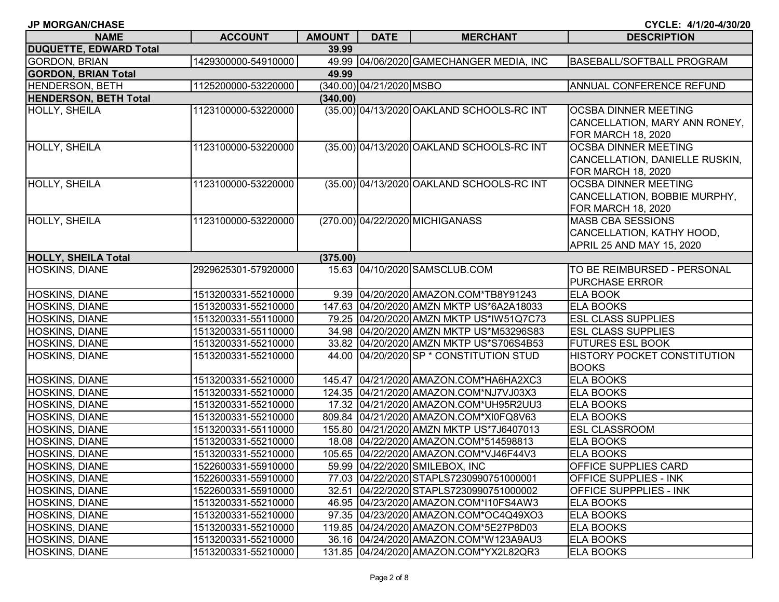| <b>JP MORGAN/CHASE</b>        |                     |               |                          |                                           | CYCLE: 4/1/20-4/30/20                                                                     |
|-------------------------------|---------------------|---------------|--------------------------|-------------------------------------------|-------------------------------------------------------------------------------------------|
| <b>NAME</b>                   | <b>ACCOUNT</b>      | <b>AMOUNT</b> | <b>DATE</b>              | <b>MERCHANT</b>                           | <b>DESCRIPTION</b>                                                                        |
| <b>DUQUETTE, EDWARD Total</b> |                     | 39.99         |                          |                                           |                                                                                           |
| GORDON, BRIAN                 | 1429300000-54910000 |               |                          | 49.99 04/06/2020 GAMECHANGER MEDIA, INC   | BASEBALL/SOFTBALL PROGRAM                                                                 |
| <b>GORDON, BRIAN Total</b>    |                     | 49.99         |                          |                                           |                                                                                           |
| <b>HENDERSON, BETH</b>        | 1125200000-53220000 |               | (340.00) 04/21/2020 MSBO |                                           | ANNUAL CONFERENCE REFUND                                                                  |
| <b>HENDERSON, BETH Total</b>  |                     | (340.00)      |                          |                                           |                                                                                           |
| <b>HOLLY, SHEILA</b>          | 1123100000-53220000 |               |                          | (35.00) 04/13/2020 OAKLAND SCHOOLS-RC INT | <b>OCSBA DINNER MEETING</b><br>CANCELLATION, MARY ANN RONEY,<br><b>FOR MARCH 18, 2020</b> |
| <b>HOLLY, SHEILA</b>          | 1123100000-53220000 |               |                          | (35.00) 04/13/2020 OAKLAND SCHOOLS-RC INT | <b>OCSBA DINNER MEETING</b><br>CANCELLATION, DANIELLE RUSKIN,<br>FOR MARCH 18, 2020       |
| <b>HOLLY, SHEILA</b>          | 1123100000-53220000 |               |                          | (35.00) 04/13/2020 OAKLAND SCHOOLS-RC INT | <b>OCSBA DINNER MEETING</b><br>CANCELLATION, BOBBIE MURPHY,<br><b>FOR MARCH 18, 2020</b>  |
| <b>HOLLY, SHEILA</b>          | 1123100000-53220000 |               |                          | (270.00) 04/22/2020 MICHIGANASS           | <b>MASB CBA SESSIONS</b><br>CANCELLATION, KATHY HOOD,<br>APRIL 25 AND MAY 15, 2020        |
| <b>HOLLY, SHEILA Total</b>    |                     | (375.00)      |                          |                                           |                                                                                           |
| <b>HOSKINS, DIANE</b>         | 2929625301-57920000 |               |                          | 15.63 04/10/2020 SAMSCLUB.COM             | TO BE REIMBURSED - PERSONAL<br><b>PURCHASE ERROR</b>                                      |
| <b>HOSKINS, DIANE</b>         | 1513200331-55210000 |               |                          | 9.39 04/20/2020 AMAZON.COM*TB8Y91243      | <b>ELA BOOK</b>                                                                           |
| <b>HOSKINS, DIANE</b>         | 1513200331-55210000 |               |                          | 147.63 04/20/2020 AMZN MKTP US*6A2A18033  | <b>ELA BOOKS</b>                                                                          |
| <b>HOSKINS, DIANE</b>         | 1513200331-55110000 |               |                          | 79.25 04/20/2020 AMZN MKTP US*IW51Q7C73   | <b>ESL CLASS SUPPLIES</b>                                                                 |
| <b>HOSKINS, DIANE</b>         | 1513200331-55110000 |               |                          | 34.98 04/20/2020 AMZN MKTP US*M53296S83   | <b>ESL CLASS SUPPLIES</b>                                                                 |
| <b>HOSKINS, DIANE</b>         | 1513200331-55210000 |               |                          | 33.82 04/20/2020 AMZN MKTP US*S706S4B53   | <b>FUTURES ESL BOOK</b>                                                                   |
| <b>HOSKINS, DIANE</b>         | 1513200331-55210000 |               |                          | 44.00 04/20/2020 SP * CONSTITUTION STUD   | HISTORY POCKET CONSTITUTION<br><b>BOOKS</b>                                               |
| <b>HOSKINS, DIANE</b>         | 1513200331-55210000 |               |                          | 145.47 04/21/2020 AMAZON.COM*HA6HA2XC3    | <b>ELA BOOKS</b>                                                                          |
| <b>HOSKINS, DIANE</b>         | 1513200331-55210000 |               |                          | 124.35 04/21/2020 AMAZON.COM*NJ7VJ03X3    | <b>ELA BOOKS</b>                                                                          |
| <b>HOSKINS, DIANE</b>         | 1513200331-55210000 |               |                          | 17.32 04/21/2020 AMAZON.COM*UH95R2UU3     | <b>ELA BOOKS</b>                                                                          |
| <b>HOSKINS, DIANE</b>         | 1513200331-55210000 |               |                          | 809.84 04/21/2020 AMAZON.COM*XI0FQ8V63    | <b>ELA BOOKS</b>                                                                          |
| <b>HOSKINS, DIANE</b>         | 1513200331-55110000 |               |                          | 155.80 04/21/2020 AMZN MKTP US*7J6407013  | <b>ESL CLASSROOM</b>                                                                      |
| <b>HOSKINS, DIANE</b>         | 1513200331-55210000 |               |                          | 18.08 04/22/2020 AMAZON.COM*514598813     | <b>ELA BOOKS</b>                                                                          |
| <b>HOSKINS, DIANE</b>         | 1513200331-55210000 |               |                          | 105.65 04/22/2020 AMAZON.COM*VJ46F44V3    | <b>ELA BOOKS</b>                                                                          |
| HOSKINS, DIANE                | 1522600331-55910000 |               |                          | 59.99 04/22/2020 SMILEBOX, INC            | <b>OFFICE SUPPLIES CARD</b>                                                               |
| <b>HOSKINS, DIANE</b>         | 1522600331-55910000 |               |                          | 77.03 04/22/2020 STAPLS7230990751000001   | <b>OFFICE SUPPLIES - INK</b>                                                              |
| <b>HOSKINS, DIANE</b>         | 1522600331-55910000 |               |                          | 32.51 04/22/2020 STAPLS7230990751000002   | OFFICE SUPPPLIES - INK                                                                    |
| <b>HOSKINS, DIANE</b>         | 1513200331-55210000 |               |                          | 46.95 04/23/2020 AMAZON.COM*I10FS4AW3     | <b>ELA BOOKS</b>                                                                          |
| <b>HOSKINS, DIANE</b>         | 1513200331-55210000 |               |                          | 97.35 04/23/2020 AMAZON.COM*OC4Q49XO3     | <b>ELA BOOKS</b>                                                                          |
| <b>HOSKINS, DIANE</b>         | 1513200331-55210000 |               |                          | 119.85 04/24/2020 AMAZON.COM*5E27P8D03    | <b>ELA BOOKS</b>                                                                          |
| <b>HOSKINS, DIANE</b>         | 1513200331-55210000 |               |                          | 36.16 04/24/2020 AMAZON.COM*W123A9AU3     | <b>ELA BOOKS</b>                                                                          |
| <b>HOSKINS, DIANE</b>         | 1513200331-55210000 |               |                          | 131.85 04/24/2020 AMAZON.COM*YX2L82QR3    | <b>ELA BOOKS</b>                                                                          |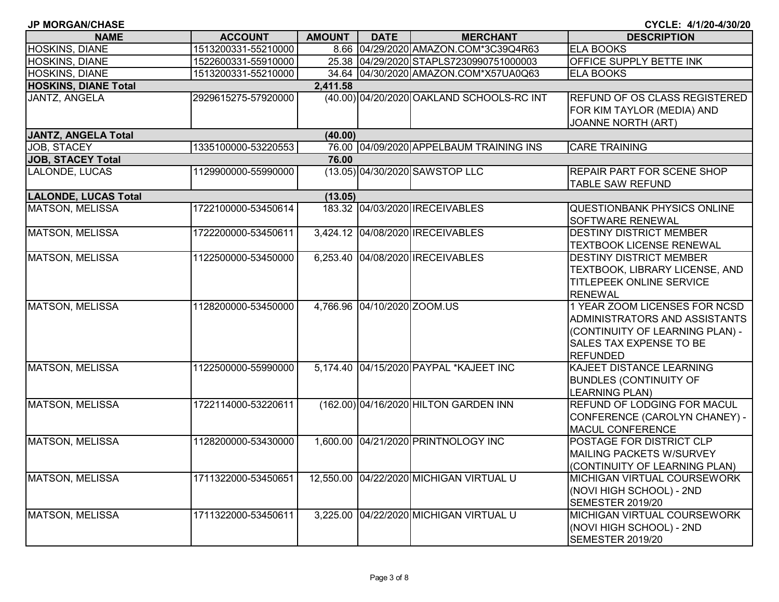| <b>JP MORGAN/CHASE</b> |  |
|------------------------|--|
|                        |  |

| <b>NAME</b>                 | <b>ACCOUNT</b>      | AMOUNT   | <b>DATE</b>                 | <b>MERCHANT</b>                           | <b>DESCRIPTION</b>                                                                                                                                     |
|-----------------------------|---------------------|----------|-----------------------------|-------------------------------------------|--------------------------------------------------------------------------------------------------------------------------------------------------------|
| HOSKINS, DIANE              | 1513200331-55210000 |          |                             | 8.66 04/29/2020 AMAZON.COM*3C39Q4R63      | <b>ELA BOOKS</b>                                                                                                                                       |
| <b>HOSKINS, DIANE</b>       | 1522600331-55910000 |          |                             | 25.38 04/29/2020 STAPLS7230990751000003   | OFFICE SUPPLY BETTE INK                                                                                                                                |
| <b>HOSKINS, DIANE</b>       | 1513200331-55210000 |          |                             | 34.64 04/30/2020 AMAZON.COM*X57UA0Q63     | <b>ELA BOOKS</b>                                                                                                                                       |
| <b>HOSKINS, DIANE Total</b> |                     | 2,411.58 |                             |                                           |                                                                                                                                                        |
| JANTZ, ANGELA               | 2929615275-57920000 |          |                             | (40.00) 04/20/2020 OAKLAND SCHOOLS-RC INT | REFUND OF OS CLASS REGISTERED<br>FOR KIM TAYLOR (MEDIA) AND<br><b>JOANNE NORTH (ART)</b>                                                               |
| <b>JANTZ, ANGELA Total</b>  |                     | (40.00)  |                             |                                           |                                                                                                                                                        |
| <b>JOB, STACEY</b>          | 1335100000-53220553 |          |                             | 76.00 04/09/2020 APPELBAUM TRAINING INS   | <b>CARE TRAINING</b>                                                                                                                                   |
| <b>JOB, STACEY Total</b>    |                     | 76.00    |                             |                                           |                                                                                                                                                        |
| LALONDE, LUCAS              | 1129900000-55990000 |          |                             | (13.05) 04/30/2020 SAWSTOP LLC            | <b>REPAIR PART FOR SCENE SHOP</b><br><b>TABLE SAW REFUND</b>                                                                                           |
| <b>LALONDE, LUCAS Total</b> |                     | (13.05)  |                             |                                           |                                                                                                                                                        |
| <b>MATSON, MELISSA</b>      | 1722100000-53450614 |          |                             | 183.32 04/03/2020 IRECEIVABLES            | QUESTIONBANK PHYSICS ONLINE<br><b>SOFTWARE RENEWAL</b>                                                                                                 |
| <b>MATSON, MELISSA</b>      | 1722200000-53450611 |          |                             | 3,424.12 04/08/2020 IRECEIVABLES          | <b>DESTINY DISTRICT MEMBER</b><br><b>TEXTBOOK LICENSE RENEWAL</b>                                                                                      |
| <b>MATSON, MELISSA</b>      | 1122500000-53450000 |          |                             | 6,253.40 04/08/2020 IRECEIVABLES          | <b>DESTINY DISTRICT MEMBER</b><br>TEXTBOOK, LIBRARY LICENSE, AND<br><b>TITLEPEEK ONLINE SERVICE</b><br><b>RENEWAL</b>                                  |
| <b>MATSON, MELISSA</b>      | 1128200000-53450000 |          | 4,766.96 04/10/2020 ZOOM.US |                                           | 1 YEAR ZOOM LICENSES FOR NCSD<br>ADMINISTRATORS AND ASSISTANTS<br>(CONTINUITY OF LEARNING PLAN) -<br><b>SALES TAX EXPENSE TO BE</b><br><b>REFUNDED</b> |
| <b>MATSON, MELISSA</b>      | 1122500000-55990000 |          |                             | 5,174.40 04/15/2020 PAYPAL *KAJEET INC    | KAJEET DISTANCE LEARNING<br><b>BUNDLES (CONTINUITY OF</b><br><b>LEARNING PLAN)</b>                                                                     |
| <b>MATSON, MELISSA</b>      | 1722114000-53220611 |          |                             | (162.00) 04/16/2020 HILTON GARDEN INN     | REFUND OF LODGING FOR MACUL<br>CONFERENCE (CAROLYN CHANEY) -<br>MACUL CONFERENCE                                                                       |
| <b>MATSON, MELISSA</b>      | 1128200000-53430000 |          |                             | 1,600.00 04/21/2020 PRINTNOLOGY INC       | POSTAGE FOR DISTRICT CLP<br>MAILING PACKETS W/SURVEY<br>(CONTINUITY OF LEARNING PLAN)                                                                  |
| <b>MATSON, MELISSA</b>      | 1711322000-53450651 |          |                             | 12,550.00 04/22/2020 MICHIGAN VIRTUAL U   | MICHIGAN VIRTUAL COURSEWORK<br>(NOVI HIGH SCHOOL) - 2ND<br><b>SEMESTER 2019/20</b>                                                                     |
| <b>MATSON, MELISSA</b>      | 1711322000-53450611 |          |                             | 3,225.00 04/22/2020 MICHIGAN VIRTUAL U    | MICHIGAN VIRTUAL COURSEWORK<br>(NOVI HIGH SCHOOL) - 2ND<br>SEMESTER 2019/20                                                                            |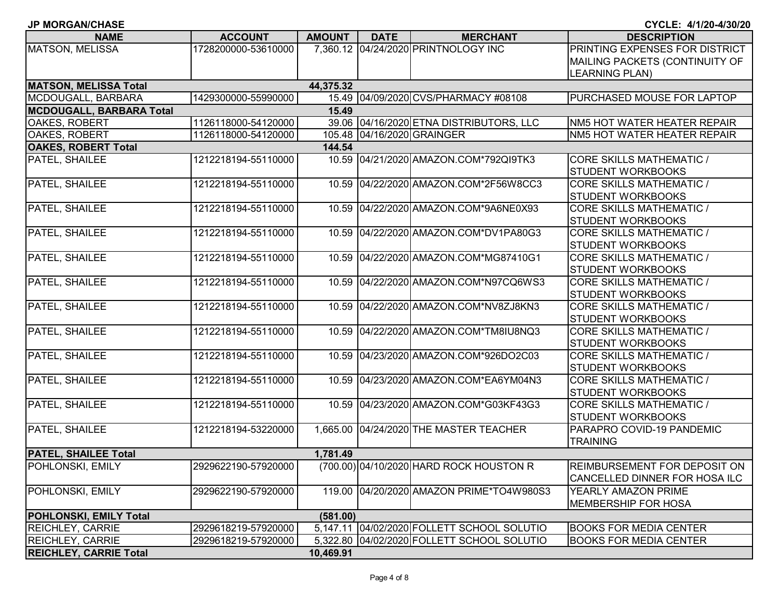| <b>NAME</b>                     | <b>ACCOUNT</b>      | <b>AMOUNT</b> | <b>DATE</b> | <b>MERCHANT</b>                            | <b>DESCRIPTION</b>                  |
|---------------------------------|---------------------|---------------|-------------|--------------------------------------------|-------------------------------------|
| <b>MATSON, MELISSA</b>          | 1728200000-53610000 |               |             | 7,360.12 04/24/2020 PRINTNOLOGY INC        | PRINTING EXPENSES FOR DISTRICT      |
|                                 |                     |               |             |                                            | MAILING PACKETS (CONTINUITY OF      |
|                                 |                     |               |             |                                            | <b>LEARNING PLAN)</b>               |
| <b>MATSON, MELISSA Total</b>    |                     | 44,375.32     |             |                                            |                                     |
| MCDOUGALL, BARBARA              | 1429300000-55990000 |               |             | 15.49 04/09/2020 CVS/PHARMACY #08108       | PURCHASED MOUSE FOR LAPTOP          |
| <b>MCDOUGALL, BARBARA Total</b> |                     | 15.49         |             |                                            |                                     |
| OAKES, ROBERT                   | 1126118000-54120000 |               |             | 39.06 04/16/2020 ETNA DISTRIBUTORS, LLC    | NM5 HOT WATER HEATER REPAIR         |
| OAKES, ROBERT                   | 1126118000-54120000 |               |             | 105.48 04/16/2020 GRAINGER                 | NM5 HOT WATER HEATER REPAIR         |
| <b>OAKES, ROBERT Total</b>      |                     | 144.54        |             |                                            |                                     |
| PATEL, SHAILEE                  | 1212218194-55110000 |               |             | 10.59 04/21/2020 AMAZON.COM*792QI9TK3      | <b>CORE SKILLS MATHEMATIC /</b>     |
|                                 |                     |               |             |                                            | <b>STUDENT WORKBOOKS</b>            |
| PATEL, SHAILEE                  | 1212218194-55110000 |               |             | 10.59 04/22/2020 AMAZON.COM*2F56W8CC3      | <b>CORE SKILLS MATHEMATIC /</b>     |
|                                 |                     |               |             |                                            | <b>STUDENT WORKBOOKS</b>            |
| PATEL, SHAILEE                  | 1212218194-55110000 |               |             | 10.59 04/22/2020 AMAZON.COM*9A6NE0X93      | <b>CORE SKILLS MATHEMATIC /</b>     |
|                                 |                     |               |             |                                            | <b>STUDENT WORKBOOKS</b>            |
| PATEL, SHAILEE                  | 1212218194-55110000 |               |             | 10.59 04/22/2020 AMAZON.COM*DV1PA80G3      | <b>CORE SKILLS MATHEMATIC /</b>     |
|                                 |                     |               |             |                                            | <b>STUDENT WORKBOOKS</b>            |
| <b>PATEL, SHAILEE</b>           | 1212218194-55110000 |               |             | 10.59 04/22/2020 AMAZON.COM*MG87410G1      | <b>CORE SKILLS MATHEMATIC /</b>     |
|                                 |                     |               |             |                                            | <b>STUDENT WORKBOOKS</b>            |
| PATEL, SHAILEE                  | 1212218194-55110000 |               |             | 10.59 04/22/2020 AMAZON.COM*N97CQ6WS3      | <b>CORE SKILLS MATHEMATIC /</b>     |
|                                 |                     |               |             |                                            | <b>STUDENT WORKBOOKS</b>            |
| PATEL, SHAILEE                  | 1212218194-55110000 |               |             | 10.59 04/22/2020 AMAZON.COM*NV8ZJ8KN3      | <b>CORE SKILLS MATHEMATIC /</b>     |
|                                 |                     |               |             |                                            | <b>STUDENT WORKBOOKS</b>            |
| PATEL, SHAILEE                  | 1212218194-55110000 |               |             | 10.59 04/22/2020 AMAZON.COM*TM8IU8NQ3      | <b>CORE SKILLS MATHEMATIC /</b>     |
|                                 |                     |               |             |                                            | <b>STUDENT WORKBOOKS</b>            |
| PATEL, SHAILEE                  | 1212218194-55110000 |               |             | 10.59 04/23/2020 AMAZON.COM*926DO2C03      | <b>CORE SKILLS MATHEMATIC /</b>     |
|                                 |                     |               |             |                                            | <b>STUDENT WORKBOOKS</b>            |
| PATEL, SHAILEE                  | 1212218194-55110000 |               |             | 10.59 04/23/2020 AMAZON.COM*EA6YM04N3      | <b>CORE SKILLS MATHEMATIC /</b>     |
|                                 |                     |               |             |                                            | <b>STUDENT WORKBOOKS</b>            |
| PATEL, SHAILEE                  | 1212218194-55110000 |               |             | 10.59 04/23/2020 AMAZON.COM*G03KF43G3      | <b>CORE SKILLS MATHEMATIC /</b>     |
|                                 |                     |               |             |                                            | <b>STUDENT WORKBOOKS</b>            |
| PATEL, SHAILEE                  | 1212218194-53220000 |               |             | 1,665.00 04/24/2020 THE MASTER TEACHER     | PARAPRO COVID-19 PANDEMIC           |
|                                 |                     |               |             |                                            | <b>TRAINING</b>                     |
| <b>PATEL, SHAILEE Total</b>     |                     | 1,781.49      |             |                                            |                                     |
| <b>POHLONSKI, EMILY</b>         | 2929622190-57920000 |               |             | (700.00) 04/10/2020 HARD ROCK HOUSTON R    | <b>REIMBURSEMENT FOR DEPOSIT ON</b> |
|                                 |                     |               |             |                                            | CANCELLED DINNER FOR HOSA ILC       |
| <b>POHLONSKI, EMILY</b>         | 2929622190-57920000 |               |             | 119.00 04/20/2020 AMAZON PRIME*TO4W980S3   | YEARLY AMAZON PRIME                 |
|                                 |                     |               |             |                                            | <b>MEMBERSHIP FOR HOSA</b>          |
| <b>POHLONSKI, EMILY Total</b>   |                     | (581.00)      |             |                                            |                                     |
| <b>REICHLEY, CARRIE</b>         | 2929618219-57920000 |               |             | 5,147.11 04/02/2020 FOLLETT SCHOOL SOLUTIO | <b>BOOKS FOR MEDIA CENTER</b>       |
| <b>REICHLEY, CARRIE</b>         | 2929618219-57920000 | 5,322.80      |             | 04/02/2020 FOLLETT SCHOOL SOLUTIO          | <b>BOOKS FOR MEDIA CENTER</b>       |
| <b>REICHLEY, CARRIE Total</b>   |                     | 10,469.91     |             |                                            |                                     |

**JP MORGAN/CHASE**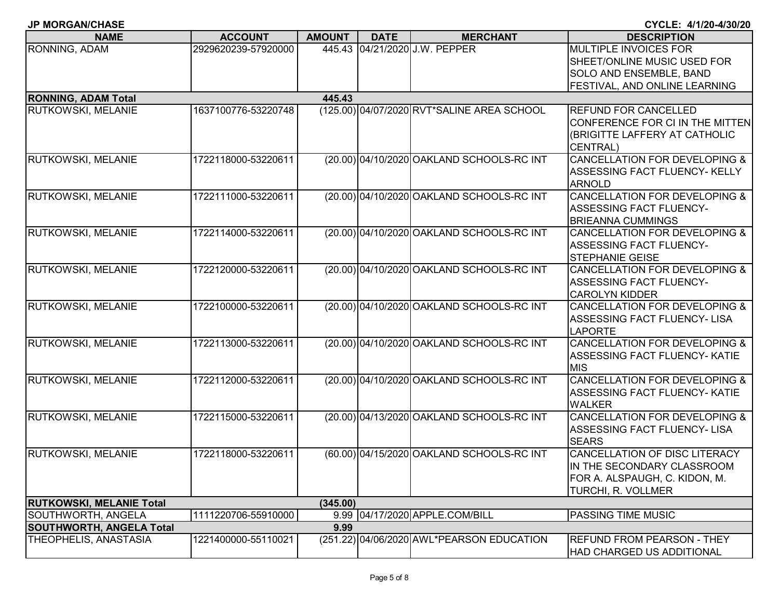| RONNING, ADAM<br>04/21/2020 J.W. PEPPER<br><b>MULTIPLE INVOICES FOR</b><br>2929620239-57920000<br>445.43<br>SHEET/ONLINE MUSIC USED FOR<br>SOLO AND ENSEMBLE, BAND<br>FESTIVAL, AND ONLINE LEARNING<br><b>RONNING, ADAM Total</b><br>445.43 | <b>NAME</b>               | <b>ACCOUNT</b>      | <b>AMOUNT</b> | <b>DATE</b> | <b>MERCHANT</b> | <b>DESCRIPTION</b>                       |
|---------------------------------------------------------------------------------------------------------------------------------------------------------------------------------------------------------------------------------------------|---------------------------|---------------------|---------------|-------------|-----------------|------------------------------------------|
|                                                                                                                                                                                                                                             |                           |                     |               |             |                 |                                          |
|                                                                                                                                                                                                                                             |                           |                     |               |             |                 |                                          |
|                                                                                                                                                                                                                                             |                           |                     |               |             |                 |                                          |
|                                                                                                                                                                                                                                             |                           |                     |               |             |                 |                                          |
|                                                                                                                                                                                                                                             |                           |                     |               |             |                 |                                          |
| (125.00) 04/07/2020 RVT*SALINE AREA SCHOOL                                                                                                                                                                                                  | <b>RUTKOWSKI, MELANIE</b> | 1637100776-53220748 |               |             |                 | REFUND FOR CANCELLED                     |
|                                                                                                                                                                                                                                             |                           |                     |               |             |                 | CONFERENCE FOR CI IN THE MITTEN          |
| (BRIGITTE LAFFERY AT CATHOLIC                                                                                                                                                                                                               |                           |                     |               |             |                 |                                          |
| CENTRAL)                                                                                                                                                                                                                                    |                           |                     |               |             |                 |                                          |
| RUTKOWSKI, MELANIE<br>(20.00) 04/10/2020 OAKLAND SCHOOLS-RC INT<br>1722118000-53220611                                                                                                                                                      |                           |                     |               |             |                 | <b>CANCELLATION FOR DEVELOPING &amp;</b> |
|                                                                                                                                                                                                                                             |                           |                     |               |             |                 | ASSESSING FACT FLUENCY- KELLY            |
| <b>ARNOLD</b>                                                                                                                                                                                                                               |                           |                     |               |             |                 |                                          |
| <b>RUTKOWSKI, MELANIE</b><br>(20.00) 04/10/2020 OAKLAND SCHOOLS-RC INT<br>1722111000-53220611                                                                                                                                               |                           |                     |               |             |                 | CANCELLATION FOR DEVELOPING &            |
| <b>ASSESSING FACT FLUENCY-</b>                                                                                                                                                                                                              |                           |                     |               |             |                 |                                          |
| <b>BRIEANNA CUMMINGS</b>                                                                                                                                                                                                                    |                           |                     |               |             |                 |                                          |
| RUTKOWSKI, MELANIE<br>(20.00) 04/10/2020 OAKLAND SCHOOLS-RC INT<br>1722114000-53220611                                                                                                                                                      |                           |                     |               |             |                 | <b>CANCELLATION FOR DEVELOPING &amp;</b> |
| ASSESSING FACT FLUENCY-                                                                                                                                                                                                                     |                           |                     |               |             |                 |                                          |
| <b>STEPHANIE GEISE</b>                                                                                                                                                                                                                      |                           |                     |               |             |                 |                                          |
| RUTKOWSKI, MELANIE<br>1722120000-53220611<br>(20.00) 04/10/2020 OAKLAND SCHOOLS-RC INT                                                                                                                                                      |                           |                     |               |             |                 | <b>CANCELLATION FOR DEVELOPING &amp;</b> |
| ASSESSING FACT FLUENCY-                                                                                                                                                                                                                     |                           |                     |               |             |                 |                                          |
| <b>CAROLYN KIDDER</b>                                                                                                                                                                                                                       |                           |                     |               |             |                 |                                          |
| RUTKOWSKI, MELANIE<br>1722100000-53220611<br>(20.00) 04/10/2020 OAKLAND SCHOOLS-RC INT                                                                                                                                                      |                           |                     |               |             |                 | <b>CANCELLATION FOR DEVELOPING &amp;</b> |
| ASSESSING FACT FLUENCY- LISA                                                                                                                                                                                                                |                           |                     |               |             |                 |                                          |
| <b>LAPORTE</b>                                                                                                                                                                                                                              |                           |                     |               |             |                 |                                          |
| <b>RUTKOWSKI, MELANIE</b><br>1722113000-53220611<br>(20.00) 04/10/2020 OAKLAND SCHOOLS-RC INT                                                                                                                                               |                           |                     |               |             |                 | CANCELLATION FOR DEVELOPING &            |
|                                                                                                                                                                                                                                             |                           |                     |               |             |                 | ASSESSING FACT FLUENCY- KATIE            |
| <b>MIS</b>                                                                                                                                                                                                                                  |                           |                     |               |             |                 |                                          |
| (20.00) 04/10/2020 OAKLAND SCHOOLS-RC INT<br><b>RUTKOWSKI, MELANIE</b><br>1722112000-53220611                                                                                                                                               |                           |                     |               |             |                 | <b>CANCELLATION FOR DEVELOPING &amp;</b> |
|                                                                                                                                                                                                                                             |                           |                     |               |             |                 | ASSESSING FACT FLUENCY- KATIE            |
| <b>WALKER</b>                                                                                                                                                                                                                               |                           |                     |               |             |                 |                                          |
| <b>RUTKOWSKI, MELANIE</b><br>(20.00) 04/13/2020 OAKLAND SCHOOLS-RC INT<br>1722115000-53220611                                                                                                                                               |                           |                     |               |             |                 | <b>CANCELLATION FOR DEVELOPING &amp;</b> |
| ASSESSING FACT FLUENCY- LISA                                                                                                                                                                                                                |                           |                     |               |             |                 |                                          |
| <b>SEARS</b>                                                                                                                                                                                                                                |                           |                     |               |             |                 |                                          |
| <b>RUTKOWSKI, MELANIE</b><br>1722118000-53220611<br>(60.00) 04/15/2020 OAKLAND SCHOOLS-RC INT                                                                                                                                               |                           |                     |               |             |                 | CANCELLATION OF DISC LITERACY            |
| IN THE SECONDARY CLASSROOM                                                                                                                                                                                                                  |                           |                     |               |             |                 |                                          |
| FOR A. ALSPAUGH, C. KIDON, M.                                                                                                                                                                                                               |                           |                     |               |             |                 |                                          |
| TURCHI, R. VOLLMER                                                                                                                                                                                                                          |                           |                     |               |             |                 |                                          |
| <b>RUTKOWSKI, MELANIE Total</b><br>(345.00)                                                                                                                                                                                                 |                           |                     |               |             |                 |                                          |
| 9.99 04/17/2020 APPLE.COM/BILL<br>SOUTHWORTH, ANGELA<br>1111220706-55910000<br>PASSING TIME MUSIC                                                                                                                                           |                           |                     |               |             |                 |                                          |
| <b>SOUTHWORTH, ANGELA Total</b><br>9.99<br>THEOPHELIS, ANASTASIA<br>1221400000-55110021<br>(251.22) 04/06/2020 AWL*PEARSON EDUCATION<br><b>REFUND FROM PEARSON - THEY</b>                                                                   |                           |                     |               |             |                 |                                          |
| <b>HAD CHARGED US ADDITIONAL</b>                                                                                                                                                                                                            |                           |                     |               |             |                 |                                          |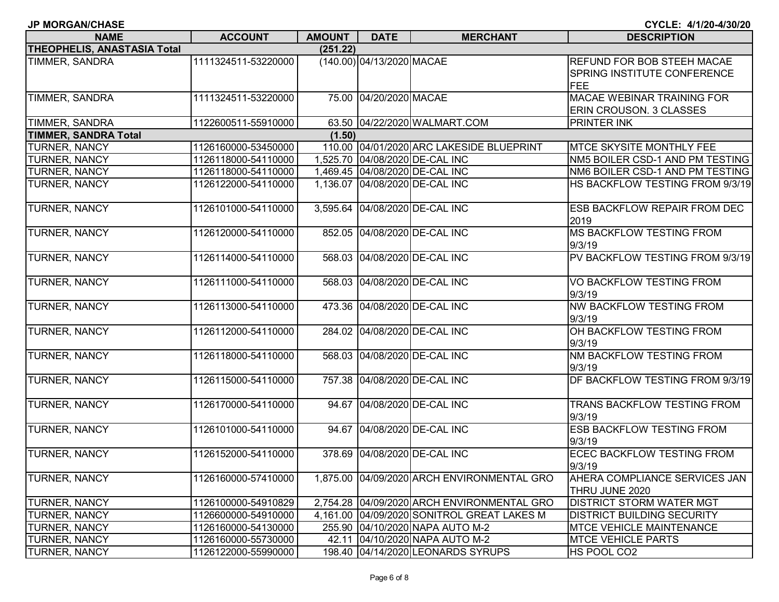| <b>ACCOUNT</b>      | <b>AMOUNT</b> | <b>DATE</b>          |
|---------------------|---------------|----------------------|
|                     | (251.22)      |                      |
| 1111324511-53220000 |               | $(140.00)$ 04/13/202 |
|                     |               |                      |
| 1111324511-53220000 | 75.00         | 04/20/20             |
|                     |               |                      |
| 1122600511-55910000 | 63.50         | 04/22/202            |
|                     | (1.50)        |                      |
| 1126160000-53450000 | 110.00        | 04/01/202            |
| 1126118000-54110000 | 1,525.70      | 04/08/202            |
| 1126118000-54110000 | 1,469.45      | 04/08/202            |
| 1126122000-54110000 | 1,136.07      | 04/08/202            |
|                     |               |                      |

| <b>NAME</b>                 | <b>ACCOUNT</b>      | <b>AMOUNT</b> | <b>DATE</b>               | <b>MERCHANT</b>                            | <b>DESCRIPTION</b>                                                      |  |  |
|-----------------------------|---------------------|---------------|---------------------------|--------------------------------------------|-------------------------------------------------------------------------|--|--|
| THEOPHELIS, ANASTASIA Total |                     | (251.22)      |                           |                                            |                                                                         |  |  |
| TIMMER, SANDRA              | 1111324511-53220000 |               | (140.00) 04/13/2020 MACAE |                                            | <b>REFUND FOR BOB STEEH MACAE</b><br><b>SPRING INSTITUTE CONFERENCE</b> |  |  |
|                             |                     |               |                           |                                            | FEE                                                                     |  |  |
| <b>TIMMER, SANDRA</b>       | 1111324511-53220000 |               | 75.00 04/20/2020 MACAE    |                                            | <b>MACAE WEBINAR TRAINING FOR</b><br><b>ERIN CROUSON. 3 CLASSES</b>     |  |  |
| TIMMER, SANDRA              | 1122600511-55910000 |               |                           | 63.50 04/22/2020 WALMART.COM               | <b>PRINTER INK</b>                                                      |  |  |
| <b>TIMMER, SANDRA Total</b> |                     | (1.50)        |                           |                                            |                                                                         |  |  |
| <b>TURNER, NANCY</b>        | 1126160000-53450000 |               |                           | 110.00 04/01/2020 ARC LAKESIDE BLUEPRINT   | <b>IMTCE SKYSITE MONTHLY FEE</b>                                        |  |  |
| <b>TURNER, NANCY</b>        | 1126118000-54110000 |               |                           | 1,525.70 04/08/2020 DE-CAL INC             | NM5 BOILER CSD-1 AND PM TESTING                                         |  |  |
| <b>TURNER, NANCY</b>        | 1126118000-54110000 |               |                           | 1,469.45 04/08/2020 DE-CAL INC             | NM6 BOILER CSD-1 AND PM TESTING                                         |  |  |
| TURNER, NANCY               | 1126122000-54110000 |               |                           | 1,136.07 04/08/2020 DE-CAL INC             | HS BACKFLOW TESTING FROM 9/3/19                                         |  |  |
| <b>TURNER, NANCY</b>        | 1126101000-54110000 |               |                           | 3,595.64 04/08/2020 DE-CAL INC             | <b>ESB BACKFLOW REPAIR FROM DEC</b><br>2019                             |  |  |
| <b>TURNER, NANCY</b>        | 1126120000-54110000 |               |                           | 852.05 04/08/2020 DE-CAL INC               | <b>MS BACKFLOW TESTING FROM</b><br>9/3/19                               |  |  |
| <b>TURNER, NANCY</b>        | 1126114000-54110000 |               |                           | 568.03 04/08/2020 DE-CAL INC               | PV BACKFLOW TESTING FROM 9/3/19                                         |  |  |
| <b>TURNER, NANCY</b>        | 1126111000-54110000 |               |                           | 568.03 04/08/2020 DE-CAL INC               | VO BACKFLOW TESTING FROM<br>9/3/19                                      |  |  |
| <b>TURNER, NANCY</b>        | 1126113000-54110000 |               |                           | 473.36 04/08/2020 DE-CAL INC               | <b>NW BACKFLOW TESTING FROM</b><br>9/3/19                               |  |  |
| TURNER, NANCY               | 1126112000-54110000 |               |                           | 284.02 04/08/2020 DE-CAL INC               | OH BACKFLOW TESTING FROM<br>9/3/19                                      |  |  |
| <b>TURNER, NANCY</b>        | 1126118000-54110000 |               |                           | 568.03 04/08/2020 DE-CAL INC               | <b>NM BACKFLOW TESTING FROM</b><br>9/3/19                               |  |  |
| <b>TURNER, NANCY</b>        | 1126115000-54110000 |               |                           | 757.38 04/08/2020 DE-CAL INC               | <b>DF BACKFLOW TESTING FROM 9/3/19</b>                                  |  |  |
| <b>TURNER, NANCY</b>        | 1126170000-54110000 |               |                           | 94.67 04/08/2020 DE-CAL INC                | TRANS BACKFLOW TESTING FROM<br>9/3/19                                   |  |  |
| <b>TURNER, NANCY</b>        | 1126101000-54110000 |               |                           | 94.67 04/08/2020 DE-CAL INC                | <b>ESB BACKFLOW TESTING FROM</b><br>9/3/19                              |  |  |
| <b>TURNER, NANCY</b>        | 1126152000-54110000 |               |                           | 378.69 04/08/2020 DE-CAL INC               | <b>ECEC BACKFLOW TESTING FROM</b><br>9/3/19                             |  |  |
| <b>TURNER, NANCY</b>        | 1126160000-57410000 |               |                           | 1,875.00 04/09/2020 ARCH ENVIRONMENTAL GRO | AHERA COMPLIANCE SERVICES JAN<br>THRU JUNE 2020                         |  |  |
| <b>TURNER, NANCY</b>        | 1126100000-54910829 |               |                           | 2,754.28 04/09/2020 ARCH ENVIRONMENTAL GRO | <b>DISTRICT STORM WATER MGT</b>                                         |  |  |
| <b>TURNER, NANCY</b>        | 1126600000-54910000 |               |                           | 4,161.00 04/09/2020 SONITROL GREAT LAKES M | <b>DISTRICT BUILDING SECURITY</b>                                       |  |  |
| <b>TURNER, NANCY</b>        | 1126160000-54130000 |               |                           | 255.90 04/10/2020 NAPA AUTO M-2            | <b>MTCE VEHICLE MAINTENANCE</b>                                         |  |  |
| <b>TURNER, NANCY</b>        | 1126160000-55730000 |               |                           | 42.11 04/10/2020 NAPA AUTO M-2             | <b>MTCE VEHICLE PARTS</b>                                               |  |  |
| <b>TURNER, NANCY</b>        | 1126122000-55990000 |               |                           | 198.40 04/14/2020 LEONARDS SYRUPS          | HS POOL CO2                                                             |  |  |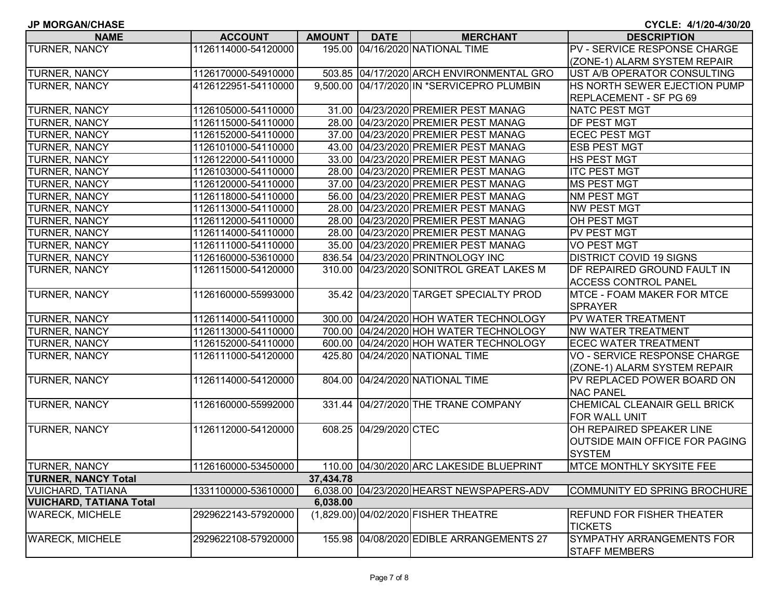| <b>JP MORGAN/CHASE</b>         |                     |               |                        |                                            | CYCLE: 4/1/20-4/30/20                 |
|--------------------------------|---------------------|---------------|------------------------|--------------------------------------------|---------------------------------------|
| <b>NAME</b>                    | <b>ACCOUNT</b>      | <b>AMOUNT</b> | <b>DATE</b>            | <b>MERCHANT</b>                            | <b>DESCRIPTION</b>                    |
| TURNER, NANCY                  | 1126114000-54120000 |               |                        | 195.00 04/16/2020 NATIONAL TIME            | PV - SERVICE RESPONSE CHARGE          |
|                                |                     |               |                        |                                            | (ZONE-1) ALARM SYSTEM REPAIR          |
| TURNER, NANCY                  | 1126170000-54910000 |               |                        | 503.85 04/17/2020 ARCH ENVIRONMENTAL GRO   | UST A/B OPERATOR CONSULTING           |
| TURNER, NANCY                  | 4126122951-54110000 |               |                        | 9,500.00 04/17/2020 IN *SERVICEPRO PLUMBIN | HS NORTH SEWER EJECTION PUMP          |
|                                |                     |               |                        |                                            | REPLACEMENT - SF PG 69                |
| <b>TURNER, NANCY</b>           | 1126105000-54110000 |               |                        | 31.00 04/23/2020 PREMIER PEST MANAG        | <b>NATC PEST MGT</b>                  |
| TURNER, NANCY                  | 1126115000-54110000 |               |                        | 28.00 04/23/2020 PREMIER PEST MANAG        | DF PEST MGT                           |
| TURNER, NANCY                  | 1126152000-54110000 |               |                        | 37.00 04/23/2020 PREMIER PEST MANAG        | <b>ECEC PEST MGT</b>                  |
| TURNER, NANCY                  | 1126101000-54110000 |               |                        | 43.00 04/23/2020 PREMIER PEST MANAG        | <b>ESB PEST MGT</b>                   |
| TURNER, NANCY                  | 1126122000-54110000 |               |                        | 33.00 04/23/2020 PREMIER PEST MANAG        | HS PEST MGT                           |
| TURNER, NANCY                  | 1126103000-54110000 |               |                        | 28.00 04/23/2020 PREMIER PEST MANAG        | <b>ITC PEST MGT</b>                   |
| TURNER, NANCY                  | 1126120000-54110000 |               |                        | 37.00 04/23/2020 PREMIER PEST MANAG        | <b>MS PEST MGT</b>                    |
| TURNER, NANCY                  | 1126118000-54110000 |               |                        | 56.00 04/23/2020 PREMIER PEST MANAG        | <b>NM PEST MGT</b>                    |
| TURNER, NANCY                  | 1126113000-54110000 |               |                        | 28.00 04/23/2020 PREMIER PEST MANAG        | <b>NW PEST MGT</b>                    |
| TURNER, NANCY                  | 1126112000-54110000 |               |                        | 28.00 04/23/2020 PREMIER PEST MANAG        | OH PEST MGT                           |
| TURNER, NANCY                  | 1126114000-54110000 |               |                        | 28.00 04/23/2020 PREMIER PEST MANAG        | PV PEST MGT                           |
| TURNER, NANCY                  | 1126111000-54110000 |               |                        | 35.00 04/23/2020 PREMIER PEST MANAG        | <b>VO PEST MGT</b>                    |
| TURNER, NANCY                  | 1126160000-53610000 |               |                        | 836.54 04/23/2020 PRINTNOLOGY INC          | <b>DISTRICT COVID 19 SIGNS</b>        |
| <b>TURNER, NANCY</b>           | 1126115000-54120000 |               |                        | 310.00 04/23/2020 SONITROL GREAT LAKES M   | DF REPAIRED GROUND FAULT IN           |
|                                |                     |               |                        |                                            | <b>ACCESS CONTROL PANEL</b>           |
| TURNER, NANCY                  | 1126160000-55993000 |               |                        | 35.42 04/23/2020 TARGET SPECIALTY PROD     | <b>MTCE - FOAM MAKER FOR MTCE</b>     |
|                                |                     |               |                        |                                            | <b>SPRAYER</b>                        |
| TURNER, NANCY                  | 1126114000-54110000 |               |                        | 300.00 04/24/2020 HOH WATER TECHNOLOGY     | PV WATER TREATMENT                    |
| TURNER, NANCY                  | 1126113000-54110000 |               |                        | 700.00 04/24/2020 HOH WATER TECHNOLOGY     | <b>NW WATER TREATMENT</b>             |
| <b>TURNER, NANCY</b>           | 1126152000-54110000 |               |                        | 600.00 04/24/2020 HOH WATER TECHNOLOGY     | <b>ECEC WATER TREATMENT</b>           |
| TURNER, NANCY                  | 1126111000-54120000 |               |                        | 425.80 04/24/2020 NATIONAL TIME            | <b>VO - SERVICE RESPONSE CHARGE</b>   |
|                                |                     |               |                        |                                            | (ZONE-1) ALARM SYSTEM REPAIR          |
| <b>TURNER, NANCY</b>           | 1126114000-54120000 |               |                        | 804.00 04/24/2020 NATIONAL TIME            | PV REPLACED POWER BOARD ON            |
|                                |                     |               |                        |                                            | <b>NAC PANEL</b>                      |
| <b>TURNER, NANCY</b>           | 1126160000-55992000 |               |                        | 331.44 04/27/2020 THE TRANE COMPANY        | CHEMICAL CLEANAIR GELL BRICK          |
|                                |                     |               |                        |                                            | FOR WALL UNIT                         |
| <b>TURNER, NANCY</b>           | 1126112000-54120000 |               | 608.25 04/29/2020 CTEC |                                            | OH REPAIRED SPEAKER LINE              |
|                                |                     |               |                        |                                            | <b>OUTSIDE MAIN OFFICE FOR PAGING</b> |
|                                |                     |               |                        |                                            | <b>SYSTEM</b>                         |
| TURNER, NANCY                  | 1126160000-53450000 |               |                        | 110.00 04/30/2020 ARC LAKESIDE BLUEPRINT   | <b>MTCE MONTHLY SKYSITE FEE</b>       |
| <b>TURNER, NANCY Total</b>     |                     | 37,434.78     |                        |                                            |                                       |
| VUICHARD, TATIANA              | 1331100000-53610000 |               |                        | 6,038.00 04/23/2020 HEARST NEWSPAPERS-ADV  | COMMUNITY ED SPRING BROCHURE          |
| <b>VUICHARD, TATIANA Total</b> |                     | 6,038.00      |                        |                                            |                                       |
| <b>WARECK, MICHELE</b>         | 2929622143-57920000 |               |                        | (1,829.00) 04/02/2020 FISHER THEATRE       | <b>REFUND FOR FISHER THEATER</b>      |
|                                |                     |               |                        |                                            | <b>TICKETS</b>                        |
| <b>WARECK, MICHELE</b>         | 2929622108-57920000 |               |                        | 155.98  04/08/2020 EDIBLE ARRANGEMENTS 27  | <b>SYMPATHY ARRANGEMENTS FOR</b>      |

STAFF MEMBERS